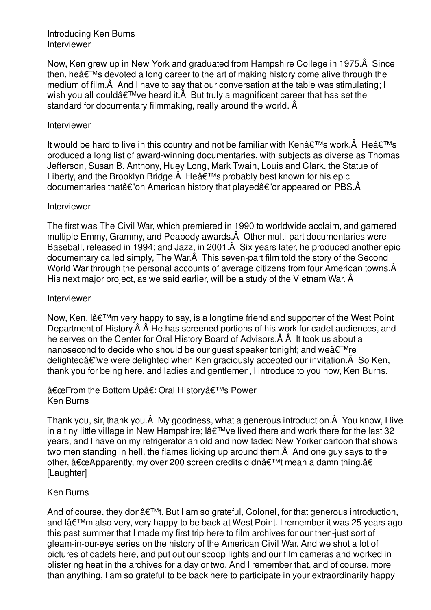#### Introducing Ken Burns Interviewer

Now, Ken grew up in New York and graduated from Hampshire College in 1975.Â Since then, he $\hat{a} \in \mathbb{M}$ s devoted a long career to the art of making history come alive through the medium of film.Â And I have to say that our conversation at the table was stimulating; I wish you all could $\hat{a} \in \mathbb{M}$  ve heard it.  $\hat{A}$  But truly a magnificent career that has set the standard for documentary filmmaking, really around the world. Â

#### Interviewer

It would be hard to live in this country and not be familiar with Ken $\hat{a} \in \mathbb{M}$ s work. $\hat{A}$  He $\hat{a} \in \mathbb{M}$ s produced a long list of award-winning documentaries, with subjects as diverse as Thomas Jefferson, Susan B. Anthony, Huey Long, Mark Twain, Louis and Clark, the Statue of Liberty, and the Brooklyn Bridge. $\hat{A}$  He $\hat{a} \in \mathbb{M}$ s probably best known for his epic documentaries that  $\hat{\epsilon}$ "on American history that played  $\hat{\epsilon}$ "or appeared on PBS. $\hat{A}$ 

#### Interviewer

The first was The Civil War, which premiered in 1990 to worldwide acclaim, and garnered multiple Emmy, Grammy, and Peabody awards.Â Other multi-part documentaries were Baseball, released in 1994; and Jazz, in 2001.Â Six years later, he produced another epic documentary called simply, The War.Â This seven-part film told the story of the Second World War through the personal accounts of average citizens from four American towns.  $\hat{A}$ His next major project, as we said earlier, will be a study of the Vietnam War. Â

#### Interviewer

Now, Ken, l'm very happy to say, is a longtime friend and supporter of the West Point Department of History.Â Â He has screened portions of his work for cadet audiences, and he serves on the Center for Oral History Board of Advisors.Â Â It took us about a nanosecond to decide who should be our guest speaker tonight; and we $\hat{a} \in T^M$ re delighted $\hat{a}\hat{\epsilon}$ "we were delighted when Ken graciously accepted our invitation. $\hat{A}$  So Ken, thank you for being here, and ladies and gentlemen, I introduce to you now, Ken Burns.

### "From the Bottom Upâ€: Oral History's Power Ken Burns

Thank you, sir, thank you.Â My goodness, what a generous introduction.Â You know, I live in a tiny little village in New Hampshire; l've lived there and work there for the last 32 years, and I have on my refrigerator an old and now faded New Yorker cartoon that shows two men standing in hell, the flames licking up around them.Â And one guy says to the other,  $â€ceApparently$ , my over 200 screen credits didn't mean a damn thing.â€ [Laughter]

### Ken Burns

And of course, they don't. But I am so grateful, Colonel, for that generous introduction. and l'm also very, very happy to be back at West Point. I remember it was 25 years ago this past summer that I made my first trip here to film archives for our then-just sort of gleam-in-our-eye series on the history of the American Civil War. And we shot a lot of pictures of cadets here, and put out our scoop lights and our film cameras and worked in blistering heat in the archives for a day or two. And I remember that, and of course, more than anything, I am so grateful to be back here to participate in your extraordinarily happy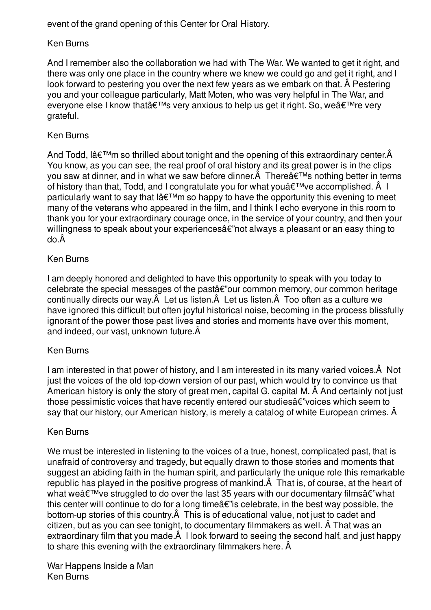event of the grand opening of this Center for Oral History.

# Ken Burns

And I remember also the collaboration we had with The War. We wanted to get it right, and there was only one place in the country where we knew we could go and get it right, and I look forward to pestering you over the next few years as we embark on that. Â Pestering you and your colleague particularly, Matt Moten, who was very helpful in The War, and everyone else I know that's very anxious to help us get it right. So, we're very grateful.

# Ken Burns

And Todd,  $I\hat{a}\in\mathbb{M}$ m so thrilled about tonight and the opening of this extraordinary center. $\hat{A}$ You know, as you can see, the real proof of oral history and its great power is in the clips you saw at dinner, and in what we saw before dinner. $\hat{A}$  There $\hat{a} \in \mathbb{N}$ s nothing better in terms of history than that, Todd, and I congratulate you for what you $\hat{a} \in \mathbb{M}$  ve accomplished.  $\hat{A}$  I particularly want to say that  $I\hat{a} \in T^M$ m so happy to have the opportunity this evening to meet many of the veterans who appeared in the film, and I think I echo everyone in this room to thank you for your extraordinary courage once, in the service of your country, and then your willingness to speak about your experiences $\hat{a}\hat{\epsilon}$ "not always a pleasant or an easy thing to do.Â

## Ken Burns

I am deeply honored and delighted to have this opportunity to speak with you today to  $c$ elebrate the special messages of the past $a \in \mathcal{C}$  our common memory, our common heritage continually directs our way.Â Let us listen.Â Let us listen.Â Too often as a culture we have ignored this difficult but often joyful historical noise, becoming in the process blissfully ignorant of the power those past lives and stories and moments have over this moment, and indeed, our vast, unknown future.Â

### Ken Burns

I am interested in that power of history, and I am interested in its many varied voices.Â Not just the voices of the old top-down version of our past, which would try to convince us that American history is only the story of great men, capital G, capital M. Â And certainly not just those pessimistic voices that have recently entered our studies $\hat{a}\epsilon$ "voices which seem to say that our history, our American history, is merely a catalog of white European crimes. Â

### Ken Burns

We must be interested in listening to the voices of a true, honest, complicated past, that is unafraid of controversy and tragedy, but equally drawn to those stories and moments that suggest an abiding faith in the human spirit, and particularly the unique role this remarkable republic has played in the positive progress of mankind.Â That is, of course, at the heart of what we $\hat{a} \in \mathbb{M}$  ve struggled to do over the last 35 years with our documentary films $\hat{a} \in \mathbb{M}$  what this center will continue to do for a long time  $\hat{a} \in \hat{a}$  celebrate, in the best way possible, the bottom-up stories of this country. A This is of educational value, not just to cadet and citizen, but as you can see tonight, to documentary filmmakers as well. Â That was an extraordinary film that you made. A I look forward to seeing the second half, and just happy to share this evening with the extraordinary filmmakers here. Â

War Happens Inside a Man Ken Burns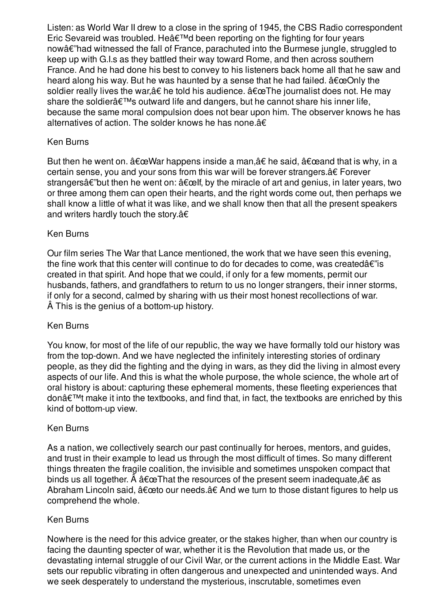Listen: as World War II drew to a close in the spring of 1945, the CBS Radio correspondent Eric Sevareid was troubled. He  $\hat{\mathbf{a}} \in \mathbb{M}$  been reporting on the fighting for four years nowâ€"had witnessed the fall of France, parachuted into the Burmese jungle, struggled to keep up with G.I.s as they battled their way toward Rome, and then across southern France. And he had done his best to convey to his listeners back home all that he saw and heard along his way. But he was haunted by a sense that he had failed.  $\hat{a} \in \infty$ Only the soldier really lives the war,  $\hat{a}\in \text{hold}$  his audience.  $\hat{a}\in \text{cell}$  journalist does not. He may share the soldier's outward life and dangers, but he cannot share his inner life, because the same moral compulsion does not bear upon him. The observer knows he has alternatives of action. The solder knows he has none.â€

## Ken Burns

But then he went on.  $\hat{a}\epsilon \in W$ ar happens inside a man, $\hat{a}\epsilon$  he said,  $\hat{a}\epsilon \in W$  and that is why, in a certain sense, you and your sons from this war will be forever strangers.â€ Forever strangersâ $\epsilon$ "but then he went on:  $\hat{\alpha} \epsilon \in \epsilon$  the miracle of art and genius, in later years, two or three among them can open their hearts, and the right words come out, then perhaps we shall know a little of what it was like, and we shall know then that all the present speakers and writers hardly touch the story.â€

### Ken Burns

Our film series The War that Lance mentioned, the work that we have seen this evening, the fine work that this center will continue to do for decades to come, was created $\hat{a}\epsilon$ "is created in that spirit. And hope that we could, if only for a few moments, permit our husbands, fathers, and grandfathers to return to us no longer strangers, their inner storms, if only for a second, calmed by sharing with us their most honest recollections of war. Â This is the genius of a bottom-up history.

### Ken Burns

You know, for most of the life of our republic, the way we have formally told our history was from the top-down. And we have neglected the infinitely interesting stories of ordinary people, as they did the fighting and the dying in wars, as they did the living in almost every aspects of our life. And this is what the whole purpose, the whole science, the whole art of oral history is about: capturing these ephemeral moments, these fleeting experiences that don $\hat{\mathbf{a}} \in \mathbb{M}$ t make it into the textbooks, and find that, in fact, the textbooks are enriched by this kind of bottom-up view.

#### Ken Burns

As a nation, we collectively search our past continually for heroes, mentors, and guides, and trust in their example to lead us through the most difficult of times. So many different things threaten the fragile coalition, the invisible and sometimes unspoken compact that binds us all together.  $\hat{A}$   $\hat{a} \in \mathbb{C}$ That the resources of the present seem inadequate, $\hat{a} \in \mathbb{C}$  as Abraham Lincoln said,  $\hat{a} \in \text{ceto}$  our needs. $\hat{a} \in A$ nd we turn to those distant figures to help us comprehend the whole.

### Ken Burns

Nowhere is the need for this advice greater, or the stakes higher, than when our country is facing the daunting specter of war, whether it is the Revolution that made us, or the devastating internal struggle of our Civil War, or the current actions in the Middle East. War sets our republic vibrating in often dangerous and unexpected and unintended ways. And we seek desperately to understand the mysterious, inscrutable, sometimes even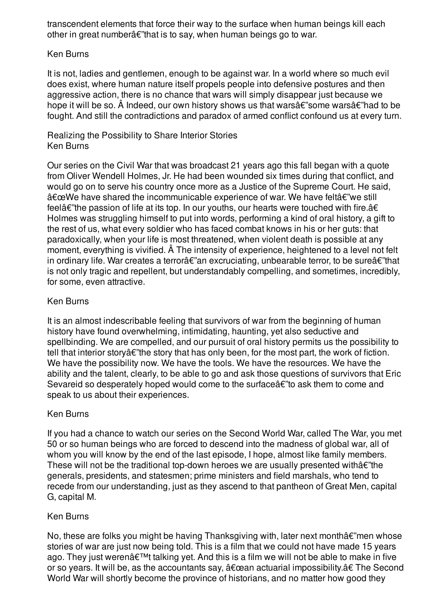transcendent elements that force their way to the surface when human beings kill each other in great number $a \in \mathbb{R}^n$  that is to say, when human beings go to war.

### Ken Burns

It is not, ladies and gentlemen, enough to be against war. In a world where so much evil does exist, where human nature itself propels people into defensive postures and then aggressive action, there is no chance that wars will simply disappear just because we hope it will be so.  $\hat{A}$  Indeed, our own history shows us that wars $\hat{a}\in\hat{B}$  some wars $\hat{a}\in\hat{B}$  had to be fought. And still the contradictions and paradox of armed conflict confound us at every turn.

### Realizing the Possibility to Share Interior Stories Ken Burns

Our series on the Civil War that was broadcast 21 years ago this fall began with a quote from Oliver Wendell Holmes, Jr. He had been wounded six times during that conflict, and would go on to serve his country once more as a Justice of the Supreme Court. He said, "We have shared the incommunicable experience of war. We have feltâ€"we still feel $\hat{a}\epsilon$ "the passion of life at its top. In our youths, our hearts were touched with fire. $\hat{a}\epsilon$ Holmes was struggling himself to put into words, performing a kind of oral history, a gift to the rest of us, what every soldier who has faced combat knows in his or her guts: that paradoxically, when your life is most threatened, when violent death is possible at any moment, everything is vivified. Â The intensity of experience, heightened to a level not felt in ordinary life. War creates a terrorâ $\varepsilon$ "an excruciating, unbearable terror, to be sureâ $\varepsilon$ "that is not only tragic and repellent, but understandably compelling, and sometimes, incredibly, for some, even attractive.

# Ken Burns

It is an almost indescribable feeling that survivors of war from the beginning of human history have found overwhelming, intimidating, haunting, yet also seductive and spellbinding. We are compelled, and our pursuit of oral history permits us the possibility to tell that interior story  $\hat{\alpha} \in \hat{\beta}$  the story that has only been, for the most part, the work of fiction. We have the possibility now. We have the tools. We have the resources. We have the ability and the talent, clearly, to be able to go and ask those questions of survivors that Eric Sevareid so desperately hoped would come to the surface  $\hat{\alpha}$  to ask them to come and speak to us about their experiences.

# Ken Burns

If you had a chance to watch our series on the Second World War, called The War, you met 50 or so human beings who are forced to descend into the madness of global war, all of whom you will know by the end of the last episode, I hope, almost like family members. These will not be the traditional top-down heroes we are usually presented with $\hat{a}\epsilon$ "the generals, presidents, and statesmen; prime ministers and field marshals, who tend to recede from our understanding, just as they ascend to that pantheon of Great Men, capital G, capital M.

# Ken Burns

No, these are folks you might be having Thanksgiving with, later next month $\hat{\alpha}\epsilon$ "men whose stories of war are just now being told. This is a film that we could not have made 15 years ago. They just weren't talking yet. And this is a film we will not be able to make in five or so years. It will be, as the accountants say, "an actuarial impossibility.†The Second World War will shortly become the province of historians, and no matter how good they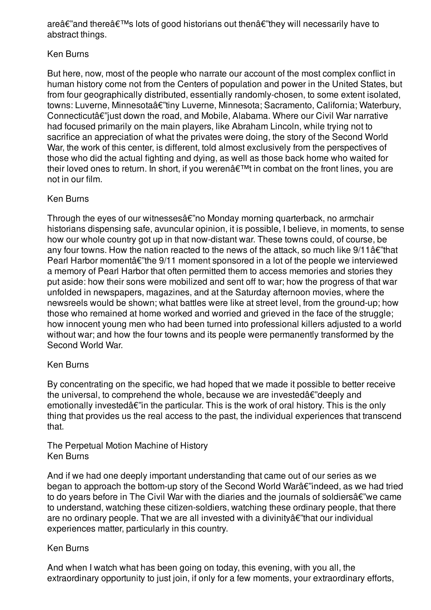are $\hat{\mathbf{\alpha}} \in \mathbb{R}^n$  and there  $\hat{\mathbf{\alpha}} \in \mathbb{R}^n$  lots of good historians out then  $\hat{\mathbf{\alpha}} \in \mathbb{R}^n$  they will necessarily have to abstract things.

## Ken Burns

But here, now, most of the people who narrate our account of the most complex conflict in human history come not from the Centers of population and power in the United States, but from four geographically distributed, essentially randomly-chosen, to some extent isolated, towns: Luverne, Minnesotaâ $\varepsilon$ "tiny Luverne, Minnesota; Sacramento, California; Waterbury, Connecticutâ€"just down the road, and Mobile, Alabama. Where our Civil War narrative had focused primarily on the main players, like Abraham Lincoln, while trying not to sacrifice an appreciation of what the privates were doing, the story of the Second World War, the work of this center, is different, told almost exclusively from the perspectives of those who did the actual fighting and dying, as well as those back home who waited for their loved ones to return. In short, if you weren't in combat on the front lines, you are not in our film.

## Ken Burns

Through the eyes of our witnesses  $\hat{\alpha} \in \hat{\beta}$  monday morning quarterback, no armchair historians dispensing safe, avuncular opinion, it is possible, I believe, in moments, to sense how our whole country got up in that now-distant war. These towns could, of course, be any four towns. How the nation reacted to the news of the attack, so much like  $9/11\hat{a}\epsilon$ "that Pearl Harbor moment $\hat{a} \in \hat{B}$  and  $\hat{B}$  moment sponsored in a lot of the people we interviewed a memory of Pearl Harbor that often permitted them to access memories and stories they put aside: how their sons were mobilized and sent off to war; how the progress of that war unfolded in newspapers, magazines, and at the Saturday afternoon movies, where the newsreels would be shown; what battles were like at street level, from the ground-up; how those who remained at home worked and worried and grieved in the face of the struggle; how innocent young men who had been turned into professional killers adjusted to a world without war; and how the four towns and its people were permanently transformed by the Second World War.

### Ken Burns

By concentrating on the specific, we had hoped that we made it possible to better receive the universal, to comprehend the whole, because we are invested $\hat{a}\epsilon$ "deeply and emotionally invested $\hat{a}\epsilon$ "in the particular. This is the work of oral history. This is the only thing that provides us the real access to the past, the individual experiences that transcend that.

### The Perpetual Motion Machine of History Ken Burns

And if we had one deeply important understanding that came out of our series as we began to approach the bottom-up story of the Second World Warâ€"indeed, as we had tried to do years before in The Civil War with the diaries and the journals of soldiers $\hat{a}\epsilon$ "we came to understand, watching these citizen-soldiers, watching these ordinary people, that there are no ordinary people. That we are all invested with a divinityâ€"that our individual experiences matter, particularly in this country.

# Ken Burns

And when I watch what has been going on today, this evening, with you all, the extraordinary opportunity to just join, if only for a few moments, your extraordinary efforts,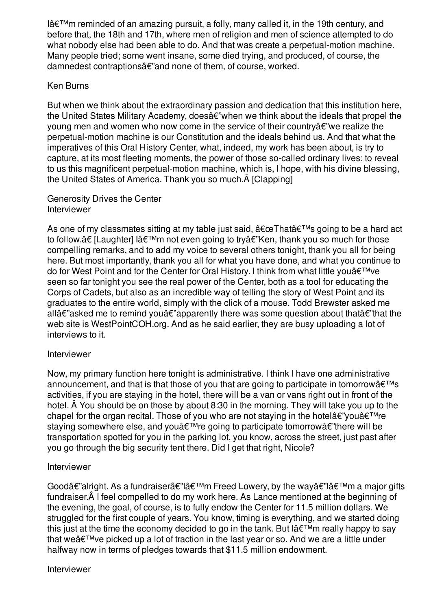$I\hat{a} \in I^M$ m reminded of an amazing pursuit, a folly, many called it, in the 19th century, and before that, the 18th and 17th, where men of religion and men of science attempted to do what nobody else had been able to do. And that was create a perpetual-motion machine. Many people tried; some went insane, some died trying, and produced, of course, the damnedest contraptions $\hat{a}\hat{\epsilon}$ " and none of them, of course, worked.

#### Ken Burns

But when we think about the extraordinary passion and dedication that this institution here, the United States Military Academy, does $\hat{a}\epsilon$ "when we think about the ideals that propel the young men and women who now come in the service of their country  $\hat{\alpha} \in \mathbb{R}^n$  we realize the perpetual-motion machine is our Constitution and the ideals behind us. And that what the imperatives of this Oral History Center, what, indeed, my work has been about, is try to capture, at its most fleeting moments, the power of those so-called ordinary lives; to reveal to us this magnificent perpetual-motion machine, which is, I hope, with his divine blessing, the United States of America. Thank you so much.Â [Clapping]

#### Generosity Drives the Center Interviewer

As one of my classmates sitting at my table just said,  $\hat{a} \in \mathbb{C}$ That $\hat{a} \in \mathbb{R}^m$ s going to be a hard act to follow.†[Laughter] l'm not even going to tryâ€"Ken, thank you so much for those compelling remarks, and to add my voice to several others tonight, thank you all for being here. But most importantly, thank you all for what you have done, and what you continue to do for West Point and for the Center for Oral History. I think from what little you $\hat{\mathbf{\theta}} \in \mathbb{R}^{T}$  ve seen so far tonight you see the real power of the Center, both as a tool for educating the Corps of Cadets, but also as an incredible way of telling the story of West Point and its graduates to the entire world, simply with the click of a mouse. Todd Brewster asked me allâ $\epsilon$ "asked me to remind youâ $\epsilon$ "apparently there was some question about thatâ $\epsilon$ "that the web site is WestPointCOH.org. And as he said earlier, they are busy uploading a lot of interviews to it.

### Interviewer

Now, my primary function here tonight is administrative. I think I have one administrative announcement, and that is that those of you that are going to participate in tomorrow  $\hat{\mathbf{a}} \in \mathbb{R}^N$ activities, if you are staying in the hotel, there will be a van or vans right out in front of the hotel. Â You should be on those by about 8:30 in the morning. They will take you up to the chapel for the organ recital. Those of you who are not staying in the hotel $\hat{\alpha}\in\mathbb{V}$  you $\hat{\alpha}\in\mathbb{V}$  re staying somewhere else, and you $\hat{\mathbf{a}} \in \mathbb{R}^n$ re going to participate tomorrow $\hat{\mathbf{a}} \in \mathbb{R}^n$ there will be transportation spotted for you in the parking lot, you know, across the street, just past after you go through the big security tent there. Did I get that right, Nicole?

#### Interviewer

Goodâ€"alright. As a fundraiserâ€"lâ€<sup>™</sup>m Freed Lowery, by the wayâ€"lâ€<sup>™</sup>m a major gifts fundraiser.Â I feel compelled to do my work here. As Lance mentioned at the beginning of the evening, the goal, of course, is to fully endow the Center for 11.5 million dollars. We struggled for the first couple of years. You know, timing is everything, and we started doing this just at the time the economy decided to go in the tank. But  $\hat{a} \in \mathbb{M}$ m really happy to say that we $\hat{a} \in \mathbb{M}$  ve picked up a lot of traction in the last year or so. And we are a little under halfway now in terms of pledges towards that \$11.5 million endowment.

Interviewer